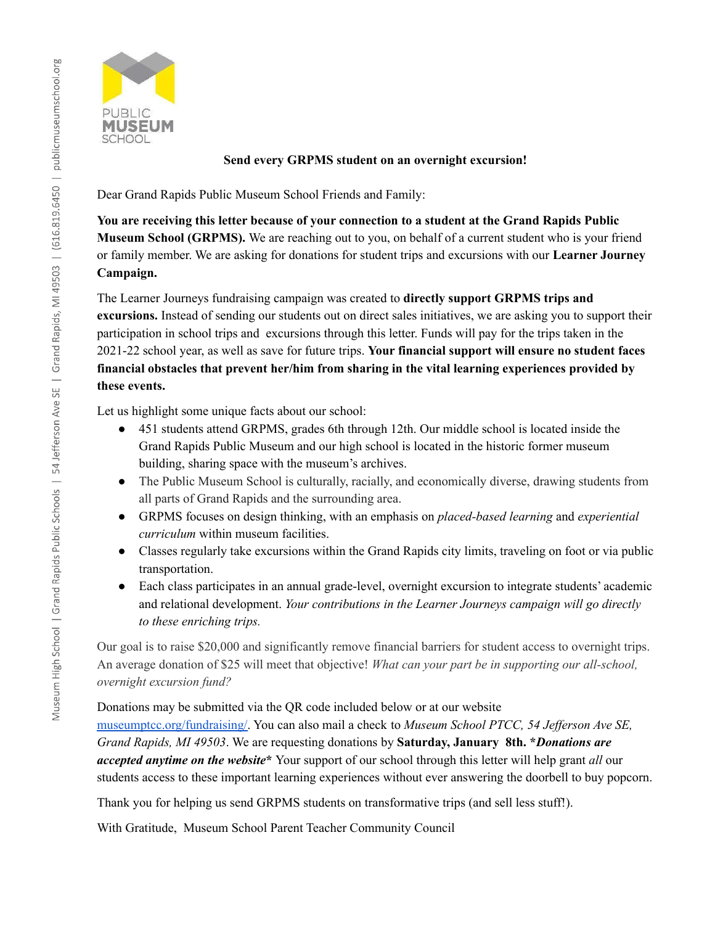

## **Send every GRPMS student on an overnight excursion!**

Dear Grand Rapids Public Museum School Friends and Family:

**You are receiving this letter because of your connection to a student at the Grand Rapids Public Museum School (GRPMS).** We are reaching out to you, on behalf of a current student who is your friend or family member. We are asking for donations for student trips and excursions with our **Learner Journey Campaign.**

The Learner Journeys fundraising campaign was created to **directly support GRPMS trips and excursions.** Instead of sending our students out on direct sales initiatives, we are asking you to support their participation in school trips and excursions through this letter. Funds will pay for the trips taken in the 2021-22 school year, as well as save for future trips. **Your financial support will ensure no student faces financial obstacles that prevent her/him from sharing in the vital learning experiences provided by these events.**

Let us highlight some unique facts about our school:

- 451 students attend GRPMS, grades 6th through 12th. Our middle school is located inside the Grand Rapids Public Museum and our high school is located in the historic former museum building, sharing space with the museum's archives.
- The Public Museum School is culturally, racially, and economically diverse, drawing students from all parts of Grand Rapids and the surrounding area.
- GRPMS focuses on design thinking, with an emphasis on *placed-based learning* and *experiential curriculum* within museum facilities.
- Classes regularly take excursions within the Grand Rapids city limits, traveling on foot or via public transportation.
- Each class participates in an annual grade-level, overnight excursion to integrate students' academic and relational development. *Your contributions in the Learner Journeys campaign will go directly to these enriching trips.*

Our goal is to raise \$20,000 and significantly remove financial barriers for student access to overnight trips. An average donation of \$25 will meet that objective! *What can your part be in supporting our all-school, overnight excursion fund?*

Donations may be submitted via the QR code included below or at our website [museumptcc.org/fundraising/.](https://museumptcc.org/fundraising/) You can also mail a check to *Museum School PTCC, 54 Jef erson Ave SE, Grand Rapids, MI 49503*. We are requesting donations by **Saturday, January 8th. \****Donations are accepted anytime on the website***\*** Your support of our school through this letter will help grant *all* our students access to these important learning experiences without ever answering the doorbell to buy popcorn.

Thank you for helping us send GRPMS students on transformative trips (and sell less stuff!).

With Gratitude, Museum School Parent Teacher Community Council